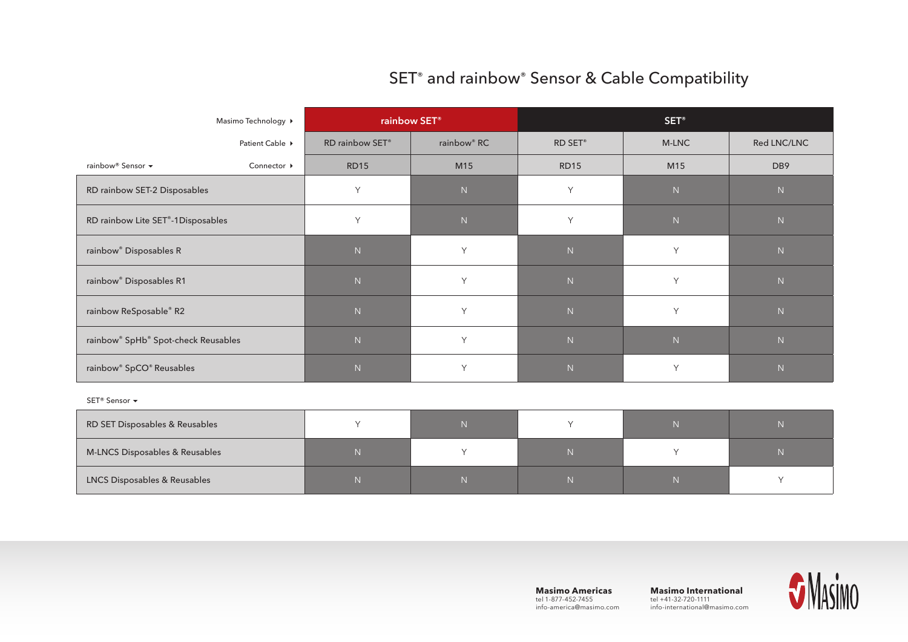## SET<sup>®</sup> and rainbow<sup>®</sup> Sensor & Cable Compatibility

| Masimo Technology ▶                             | rainbow SET <sup>®</sup> |                         | SET <sup>®</sup> |           |                 |  |  |  |
|-------------------------------------------------|--------------------------|-------------------------|------------------|-----------|-----------------|--|--|--|
| Patient Cable ▶                                 | RD rainbow SET®          | rainbow <sup>®</sup> RC | RD SET®          | M-LNC     | Red LNC/LNC     |  |  |  |
| rainbow® Sensor ▼<br>Connector ▶                | <b>RD15</b>              | M15                     | <b>RD15</b>      | M15       | DB <sub>9</sub> |  |  |  |
| RD rainbow SET-2 Disposables                    | Y                        | ${\sf N}$               | Y                | ${\sf N}$ | ${\sf N}$       |  |  |  |
| RD rainbow Lite SET®-1Disposables               | Y                        | ${\sf N}$               | Y                | ${\sf N}$ | ${\sf N}$       |  |  |  |
| rainbow <sup>®</sup> Disposables R              | $\mathsf N$              | Y                       | ${\sf N}$        | Y         | ${\sf N}$       |  |  |  |
| rainbow <sup>®</sup> Disposables R1             | ${\sf N}$                | Y                       | ${\sf N}$        | Y         | ${\sf N}$       |  |  |  |
| rainbow ReSposable® R2                          | ${\sf N}$                | Y                       | ${\sf N}$        | Y         | ${\sf N}$       |  |  |  |
| rainbow <sup>®</sup> SpHb® Spot-check Reusables | $\mathsf N$              | Y                       | $\mathsf N$      | N         | ${\sf N}$       |  |  |  |
| rainbow <sup>®</sup> SpCO® Reusables            | $\mathbb N$              | Y                       | N                | Y         | ${\sf N}$       |  |  |  |
| SET <sup>®</sup> Sensor ▼                       |                          |                         |                  |           |                 |  |  |  |
| RD SET Disposables & Reusables                  | Υ                        | ${\sf N}$               | Y                | ${\sf N}$ | ${\sf N}$       |  |  |  |
| M-LNCS Disposables & Reusables                  | ${\sf N}$                | Υ                       | $\,$ N           | Y         | ${\sf N}$       |  |  |  |

LNCS Disposables & Reusables N N N N Y

**Masimo Americas**  tel 1-877-452-7455 info-america@masimo.com

**Masimo International** tel +41-32-720-1111 info-international@masimo.com